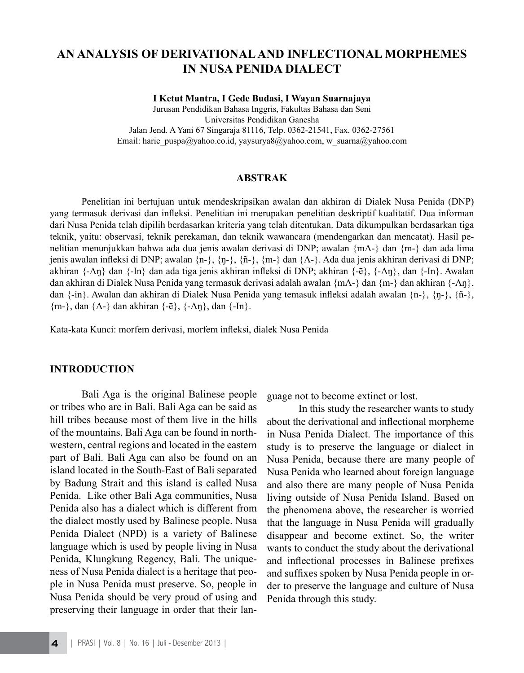# **AN ANALYSIS OF DERIVATIONAL AND INFLECTIONAL MORPHEMES IN NUSA PENIDA DIALECT**

#### **I Ketut Mantra, I Gede Budasi, I Wayan Suarnajaya**

Jurusan Pendidikan Bahasa Inggris, Fakultas Bahasa dan Seni Universitas Pendidikan Ganesha Jalan Jend. A Yani 67 Singaraja 81116, Telp. 0362-21541, Fax. 0362-27561 Email: harie\_puspa@yahoo.co.id, yaysurya8@yahoo.com, w\_suarna@yahoo.com

#### **ABSTRAK**

Penelitian ini bertujuan untuk mendeskripsikan awalan dan akhiran di Dialek Nusa Penida (DNP) yang termasuk derivasi dan infleksi. Penelitian ini merupakan penelitian deskriptif kualitatif. Dua informan dari Nusa Penida telah dipilih berdasarkan kriteria yang telah ditentukan. Data dikumpulkan berdasarkan tiga teknik, yaitu: observasi, teknik perekaman, dan teknik wawancara (mendengarkan dan mencatat). Hasil penelitian menunjukkan bahwa ada dua jenis awalan derivasi di DNP; awalan {mΛ-} dan {m-} dan ada lima jenis awalan infleksi di DNP; awalan {n-}, {ŋ-}, {ñ-}, {m-} dan {Λ-}. Ada dua jenis akhiran derivasi di DNP; akhiran {-Λŋ} dan {-In} dan ada tiga jenis akhiran infleksi di DNP; akhiran {-ē}, {-Λŋ}, dan {-In}. Awalan dan akhiran di Dialek Nusa Penida yang termasuk derivasi adalah awalan {mΛ-} dan {m-} dan akhiran {-Λŋ}, dan {-in}. Awalan dan akhiran di Dialek Nusa Penida yang temasuk infleksi adalah awalan {n-}, {ŋ-}, {ñ-},  ${m-\}$ , dan  ${A-\}$  dan akhiran  ${-\bar{e}}$ ,  ${A_n}$ , dan  ${-In}$ .

Kata-kata Kunci: morfem derivasi, morfem infleksi, dialek Nusa Penida

#### **INTRODUCTION**

Bali Aga is the original Balinese people or tribes who are in Bali. Bali Aga can be said as hill tribes because most of them live in the hills of the mountains. Bali Aga can be found in northwestern, central regions and located in the eastern part of Bali. Bali Aga can also be found on an island located in the South-East of Bali separated by Badung Strait and this island is called Nusa Penida. Like other Bali Aga communities, Nusa Penida also has a dialect which is different from the dialect mostly used by Balinese people. Nusa Penida Dialect (NPD) is a variety of Balinese language which is used by people living in Nusa Penida, Klungkung Regency, Bali. The uniqueness of Nusa Penida dialect is a heritage that people in Nusa Penida must preserve. So, people in Nusa Penida should be very proud of using and preserving their language in order that their lan-

guage not to become extinct or lost.

In this study the researcher wants to study about the derivational and inflectional morpheme in Nusa Penida Dialect. The importance of this study is to preserve the language or dialect in Nusa Penida, because there are many people of Nusa Penida who learned about foreign language and also there are many people of Nusa Penida living outside of Nusa Penida Island. Based on the phenomena above, the researcher is worried that the language in Nusa Penida will gradually disappear and become extinct. So, the writer wants to conduct the study about the derivational and inflectional processes in Balinese prefixes and suffixes spoken by Nusa Penida people in order to preserve the language and culture of Nusa Penida through this study.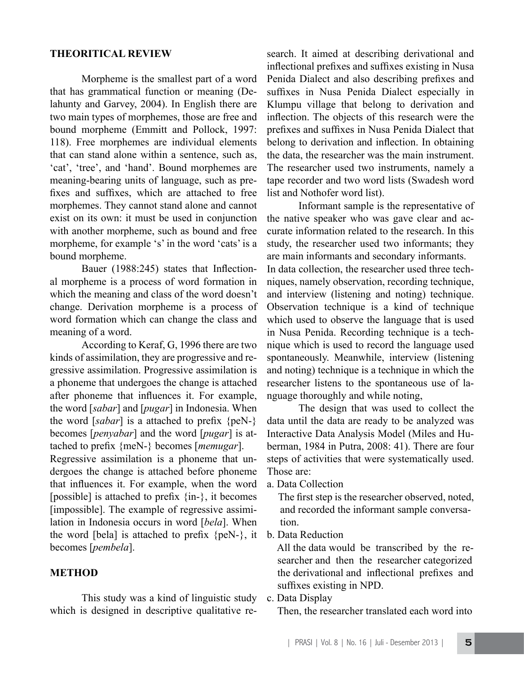### **THEORITICAL REVIEW**

Morpheme is the smallest part of a word that has grammatical function or meaning (Delahunty and Garvey, 2004). In English there are two main types of morphemes, those are free and bound morpheme (Emmitt and Pollock, 1997: 118). Free morphemes are individual elements that can stand alone within a sentence, such as, 'cat', 'tree', and 'hand'. Bound morphemes are meaning-bearing units of language, such as prefixes and suffixes, which are attached to free morphemes. They cannot stand alone and cannot exist on its own: it must be used in conjunction with another morpheme, such as bound and free morpheme, for example 's' in the word 'cats' is a bound morpheme.

Bauer (1988:245) states that Inflectional morpheme is a process of word formation in which the meaning and class of the word doesn't change. Derivation morpheme is a process of word formation which can change the class and meaning of a word.

According to Keraf, G, 1996 there are two kinds of assimilation, they are progressive and regressive assimilation. Progressive assimilation is a phoneme that undergoes the change is attached after phoneme that influences it. For example, the word [*sabar*] and [*pugar*] in Indonesia. When the word [*sabar*] is a attached to prefix {peN-} becomes [*penyabar*] and the word [*pugar*] is attached to prefix {meN-} becomes [*memugar*]. Regressive assimilation is a phoneme that undergoes the change is attached before phoneme that influences it. For example, when the word [possible] is attached to prefix  $\{in\}$ , it becomes [impossible]. The example of regressive assimilation in Indonesia occurs in word [*bela*]. When the word [bela] is attached to prefix {peN-}, it becomes [*pembela*].

#### **METHOD**

This study was a kind of linguistic study which is designed in descriptive qualitative re-

search. It aimed at describing derivational and inflectional prefixes and suffixes existing in Nusa Penida Dialect and also describing prefixes and suffixes in Nusa Penida Dialect especially in Klumpu village that belong to derivation and inflection. The objects of this research were the prefixes and suffixes in Nusa Penida Dialect that belong to derivation and inflection. In obtaining the data, the researcher was the main instrument. The researcher used two instruments, namely a tape recorder and two word lists (Swadesh word list and Nothofer word list).

Informant sample is the representative of the native speaker who was gave clear and accurate information related to the research. In this study, the researcher used two informants; they are main informants and secondary informants. In data collection, the researcher used three techniques, namely observation, recording technique, and interview (listening and noting) technique. Observation technique is a kind of technique which used to observe the language that is used in Nusa Penida. Recording technique is a technique which is used to record the language used spontaneously. Meanwhile, interview (listening and noting) technique is a technique in which the researcher listens to the spontaneous use of language thoroughly and while noting,

The design that was used to collect the data until the data are ready to be analyzed was Interactive Data Analysis Model (Miles and Huberman, 1984 in Putra, 2008: 41). There are four steps of activities that were systematically used. Those are:

a. Data Collection

 The first step is the researcher observed, noted, and recorded the informant sample conversa tion.

b. Data Reduction

 All the data would be transcribed by the re searcher and then the researcher categorized the derivational and inflectional prefixes and suffixes existing in NPD.

c. Data Display

Then, the researcher translated each word into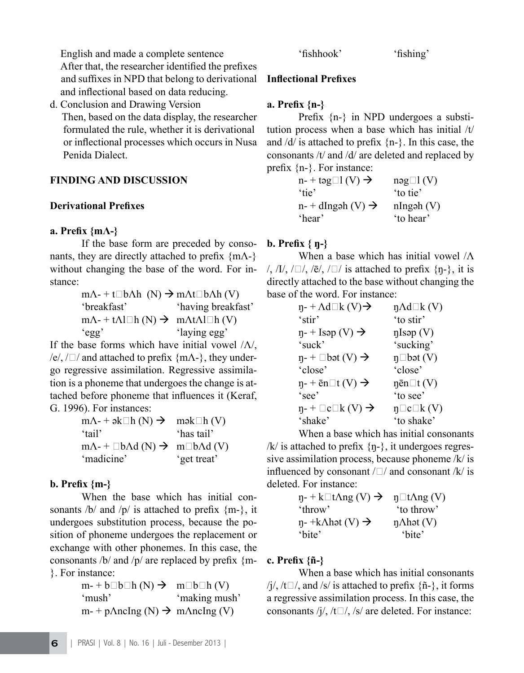English and made a complete sentence After that, the researcher identified the prefixes and suffixes in NPD that belong to derivational and inflectional based on data reducing.

d. Conclusion and Drawing Version

 Then, based on the data display, the researcher formulated the rule, whether it is derivational or inflectional processes which occurs in Nusa Penida Dialect.

## **FINDING AND DISCUSSION**

## **Derivational Prefixes**

## **a. Prefix {mΛ-}**

If the base form are preceded by consonants, they are directly attached to prefix {mΛ-} without changing the base of the word. For instance:

> $m\Lambda$ - + t $\Box$ b $\Lambda$ h (N)  $\rightarrow$  m $\Lambda$ t $\Box$ b $\Lambda$ h (V) 'breakfast' 'having breakfast'  $m\Lambda$ - + t $\Lambda$ l $\Box$ h (N)  $\rightarrow$  m $\Lambda$ t $\Lambda$ l $\Box$ h (V) 'egg' 'laying egg'

If the base forms which have initial vowel  $/Λ$ , /e/,  $/\Box$ / and attached to prefix {m $\Lambda$ -}, they undergo regressive assimilation. Regressive assimilation is a phoneme that undergoes the change is attached before phoneme that influences it (Keraf, G. 1996). For instances:

> $m\Lambda$ - + ək $\Box$ h (N)  $\rightarrow$  mək $\Box$ h (V) 'tail' 'has tail'  $m\Lambda$ - +  $\square$ b $\Lambda$ d (N)  $\rightarrow$  m $\square$ b $\Lambda$ d (V) 'madicine' 'get treat'

## **b. Prefix {m-}**

When the base which has initial consonants /b/ and /p/ is attached to prefix  ${m-}$ , it undergoes substitution process, because the position of phoneme undergoes the replacement or exchange with other phonemes. In this case, the consonants /b/ and /p/ are replaced by prefix {m- }. For instance:

> $m - + b \Box b \Box h \quad (N) \rightarrow m \Box b \Box h \quad (V)$ 'mush' 'making mush' m- + p $\Lambda$ ncIng (N)  $\rightarrow$  m $\Lambda$ ncIng (V)

'fishhook' 'fishing'

## **Inflectional Prefixes**

### **a. Prefix {n-}**

Prefix {n-} in NPD undergoes a substitution process when a base which has initial /t/ and  $\frac{d}{dx}$  is attached to prefix  $\{n-\}$ . In this case, the consonants /t/ and /d/ are deleted and replaced by prefix {n-}. For instance:

> $n - + \text{tsg} \Box 1(V) \rightarrow \text{mg} \Box 1(V)$ 'tie' 'to tie'  $n - +$  dIngəh (V)  $\rightarrow$  nIngəh (V) 'hear' 'to hear'

## **b. Prefix { ŋ-}**

When a base which has initial vowel /Λ /, /I/, / $\square$ /, / $\bar{e}$ /, / $\square$ / is attached to prefix {n-}, it is directly attached to the base without changing the base of the word. For instance:

| $\eta$ - + $\Lambda$ d $\Box$ k (V) $\rightarrow$ | $\eta \Lambda d \Box k$ (V) |
|---------------------------------------------------|-----------------------------|
| 'stir'                                            | 'to stir'                   |
| $\eta$ - + Isəp (V) $\rightarrow$                 | $nI$ səp $(V)$              |
| 'suck'                                            | 'sucking'                   |
| $\eta$ - + $\Box$ bət (V) $\rightarrow$           | $\eta$ Dbat (V)             |
| 'close'                                           | 'close'                     |
| $\eta$ - + $\bar{e}n\Box t$ (V) $\rightarrow$     | $\eta$ ēn $\Box$ t (V)      |
| 'see'                                             | 'to see'                    |
| $\eta$ - + $\Box$ c $\Box$ k (V) $\rightarrow$    | $\eta \Box c \Box k$ (V)    |
| 'shake'                                           | 'to shake'                  |

When a base which has initial consonants  $/k/$  is attached to prefix  $\{n-\}$ , it undergoes regressive assimilation process, because phoneme /k/ is influenced by consonant  $/\square$  and consonant  $/k$  is deleted. For instance:

$$
n_1 + k \Box t \land n g (V) \rightarrow n \Box t \land n g (V)
$$
  
'throw' to throw'  
the' to throw'  
"bite" to the"

## **c. Prefix {ñ-}**

When a base which has initial consonants /j/, /t $\Box$ /, and /s/ is attached to prefix {ñ-}, it forms a regressive assimilation process. In this case, the consonants /j/, /t $\Box$ /, /s/ are deleted. For instance: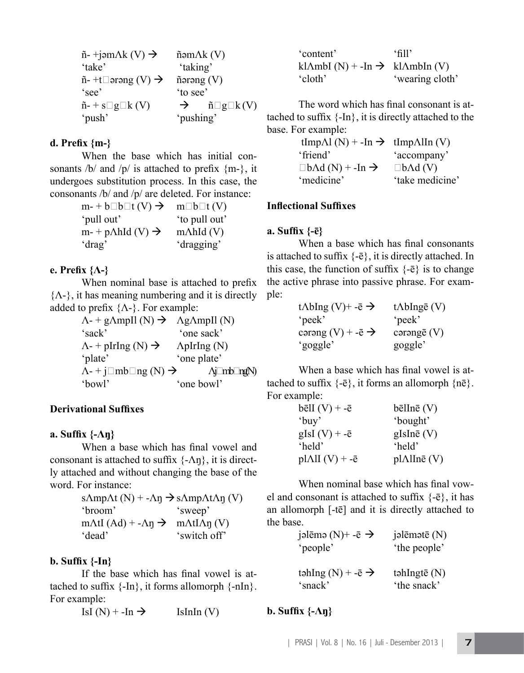| $ñ$ - +jəm $\Lambda k$ (V) $\rightarrow$ | $ñ$ əm $\Lambda$ k (V)                        |  |
|------------------------------------------|-----------------------------------------------|--|
| 'take'                                   | 'taking'                                      |  |
| $ñ$ - +t $\Box$ ərəng (V) $\rightarrow$  | $ñ$ ərəng $(V)$                               |  |
| 'see'                                    | 'to see'                                      |  |
| $\tilde{n}$ - + s $\Box$ g $\Box$ k (V)  | $\tilde{n} \Box g \Box k(V)$<br>$\rightarrow$ |  |
| 'push'                                   | 'pushing'                                     |  |

#### **d. Prefix {m-}**

When the base which has initial consonants /b/ and /p/ is attached to prefix  ${m-}$ , it undergoes substitution process. In this case, the consonants /b/ and /p/ are deleted. For instance:

| $m - + b \Box b \Box t$ (V) $\rightarrow$ | $m\square b\square t(V)$ |
|-------------------------------------------|--------------------------|
| 'pull out'                                | 'to pull out'            |
| $m$ - + p $\Lambda$ hId (V) $\rightarrow$ | $m\Lambda hId$ (V)       |
| 'drag'                                    | 'dragging'               |

## **e. Prefix {Λ-}**

When nominal base is attached to prefix  ${ $\Lambda$ -}, it has meaning numbering and it is directly$ added to prefix  ${**Λ-**}$ . For example:

| $\Lambda$ - + g $\Lambda$ mpIl (N) $\rightarrow$ $\Lambda$ g $\Lambda$ mpIl (N) |                                    |
|---------------------------------------------------------------------------------|------------------------------------|
| 'sack'                                                                          | 'one sack'                         |
| $\Lambda$ - + pIrIng (N) $\rightarrow$                                          | $\Lambda$ pIrIng (N)               |
| 'plate'                                                                         | 'one plate'                        |
| $\Lambda$ - + j $\Box$ mb $\Box$ ng (N) $\rightarrow$                           | $\Lambda$ j $\Box$ mb $\Box$ ng(N) |
| 'bowl'                                                                          | 'one bowl'                         |

## **Derivational Suffixes**

#### **a. Suffix {-Λŋ}**

When a base which has final vowel and consonant is attached to suffix  $\{-\Lambda \eta\}$ , it is directly attached and without changing the base of the word. For instance:

| s $\Lambda$ mp $\Lambda$ t (N) + - $\Lambda$ n $\rightarrow$ s $\Lambda$ mp $\Lambda$ t $\Lambda$ n (V) |                                 |
|---------------------------------------------------------------------------------------------------------|---------------------------------|
| 'broom'                                                                                                 | 'sweep'                         |
| $m\Lambda tI(Ad) + -\Lambda n \rightarrow$                                                              | $m\Lambda t I \Lambda \eta$ (V) |
| dead'                                                                                                   | 'switch off'                    |

## **b. Suffix {-In}**

If the base which has final vowel is attached to suffix  $\{-\ln\}$ , it forms allomorph  $\{-\ln\}$ . For example:

IsI  $(N)$  + -In  $\rightarrow$  IsInIn  $(V)$ 

'content' 'fill' kl $\Lambda$ mbI (N) + -In  $\rightarrow$  kl $\Lambda$ mbIn (V) 'cloth' 'wearing cloth'

The word which has final consonant is attached to suffix  $\{-\ln\}$ , it is directly attached to the base. For example:

> tImpΛl (N) + -In  $\rightarrow$  tImpΛlIn (V) 'friend' 'accompany'  $\Box$ b $\Lambda$ d (N) + -In  $\rightarrow$   $\Box$ b $\Lambda$ d (V) 'medicine' 'take medicine'

#### **Inflectional Suffixes**

#### **a. Suffix {-ē}**

When a base which has final consonants is attached to suffix  $\{-\bar{e}\}\$ , it is directly attached. In this case, the function of suffix  $\{-\bar{e}\}\$ is to change the active phrase into passive phrase. For example:

| t $\Delta b$ Ing (V)+ -ē $\rightarrow$ | t $\Lambda$ bIngē (V) |
|----------------------------------------|-----------------------|
| 'peek'                                 | 'peek'                |
| carang $(V) + -\bar{e} \rightarrow$    | carange $(V)$         |
| 'goggle'                               | goggle'               |

When a base which has final vowel is attached to suffix  $\{-\bar{e}\}\$ , it forms an allomorph  $\{\bar{n}\bar{e}\}\$ . For example:

| $b\bar{e}$ II (V) + - $\bar{e}$ | $b$ ēl $In$ ē $(V)$     |
|---------------------------------|-------------------------|
| $'$ buy'                        | 'bought'                |
| gIsI $(V)$ + - $\bar{e}$        | gIsIn $\bar{e}$ (V)     |
| 'held'                          | 'held'                  |
| $p1$ AlI (V) + - $\bar{e}$      | $p1$ AlIn $\bar{e}$ (V) |

When nominal base which has final vowel and consonant is attached to suffix  $\{-\bar{e}\}\$ , it has an allomorph [-tē] and it is directly attached to the base.

| jalēma $(N)$ + -ē $\rightarrow$             | jalēmatē (N)       |
|---------------------------------------------|--------------------|
| 'people'                                    | 'the people'       |
| təh $\text{Ing} (N) + -\bar{e} \rightarrow$ | təh $In$ gtē $(N)$ |
| 'snack'                                     | 'the snack'        |

#### **b. Suffix {-Λŋ}**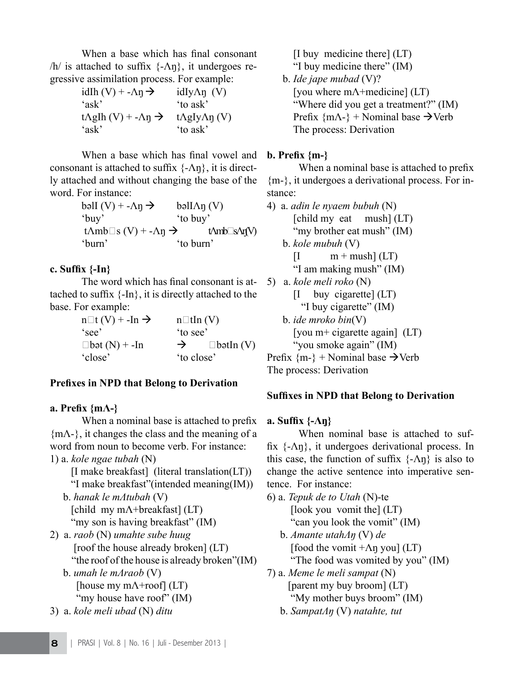When a base which has final consonant /h/ is attached to suffix  $\{-\Lambda \eta\}$ , it undergoes regressive assimilation process. For example:

| idIh $(V)$ + - $\Lambda$ n $\rightarrow$          | $idIy\Lambda\eta$ (V)          |
|---------------------------------------------------|--------------------------------|
| 'ask'                                             | 'to ask'                       |
| t $\Lambda$ gIh (V) + - $\Lambda$ n $\rightarrow$ | $t\Lambda gJy\Lambda \eta$ (V) |
| 'ask'                                             | to ask <sup>2</sup>            |

When a base which has final vowel and **b. Prefix {m-}**  consonant is attached to suffix  $\{-\Lambda \eta\}$ , it is directly attached and without changing the base of the word. For instance:

bəll  $(V)$  + - $\Lambda$ n  $\rightarrow$  bəll $\Lambda$ n  $(V)$ 'buy' 'to buy' tΛmb $\Box$ s (V) + -Λη  $\rightarrow$  tΛmb $\Box$ sΛη(V) 'burn' 'to burn'

## **c. Suffix {-In}**

The word which has final consonant is attached to suffix  $\{-In\}$ , it is directly attached to the base. For example:

| $n\Box t$ (V) + -In $\rightarrow$ |               | $n \Box$ tIn (V)    |
|-----------------------------------|---------------|---------------------|
| 'see'                             | 'to see'      |                     |
| $\Box$ bət (N) + -In              | $\rightarrow$ | $\square$ bətIn (V) |
| 'close'                           | to close      |                     |

## **Prefixes in NPD that Belong to Derivation**

## **a. Prefix {mΛ-}**

When a nominal base is attached to prefix {mΛ-}, it changes the class and the meaning of a word from noun to become verb. For instance:

- 1) a. *kole ngae tubah* (N) [I make breakfast] (literal translation(LT)) "I make breakfast"(intended meaning(IM))
	- b. *hanak le mΛtubah* (V) [child my mΛ+breakfast] (LT) "my son is having breakfast" (IM)
- 2) a. *raob* (N) *umahte sube huug* [roof the house already broken] (LT) "the roof of the house is already broken"(IM)
	- b. *umah le mΛraob* (V) [house my m $\Lambda$ +roof] (LT) "my house have roof" (IM)
- 3) a. *kole meli ubad* (N) *ditu*

 [I buy medicine there] (LT) "I buy medicine there" (IM)

 b. *Ide jape mubad* (V)? [you where mΛ+medicine] (LT) "Where did you get a treatment?" (IM) Prefix  ${m\Lambda-\}$  + Nominal base  $\rightarrow$  Verb The process: Derivation

When a nominal base is attached to prefix {m-}, it undergoes a derivational process. For instance:

4) a. *adin le nyaem bubuh* (N) [child my eat mush] (LT) "my brother eat mush" (IM) b. *kole mubuh* (V)  $[I \qquad m + \text{mush}](LT)$  "I am making mush" (IM) 5) a. *kole meli roko* (N)  $[I$  buy cigarette]  $(LT)$  "I buy cigarette" (IM) b. *ide mroko bin*(V) [you m+ cigarette again]  $(LT)$  "you smoke again" (IM) Prefix  ${m-}$  + Nominal base  $\rightarrow$  Verb The process: Derivation

## **Suffixes in NPD that Belong to Derivation**

## **a. Suffix {-Λŋ}**

When nominal base is attached to suffix  $\{\{-\Lambda\eta\}\}\$ , it undergoes derivational process. In this case, the function of suffix  $\{-\Lambda \eta\}$  is also to change the active sentence into imperative sentence. For instance:

- 6) a. *Tepuk de to Utah* (N)-te [look you vomit the] (LT) "can you look the vomit" (IM) b. *Amante utahΛŋ* (V) *de*
	- [food the vomit  $+\Delta \eta$  you] (LT) "The food was vomited by you" (IM)
- 7) a. *Meme le meli sampat* (N) [parent my buy broom] (LT) "My mother buys broom" (IM)
	- b. *SampatΛŋ* (V) *natahte, tut*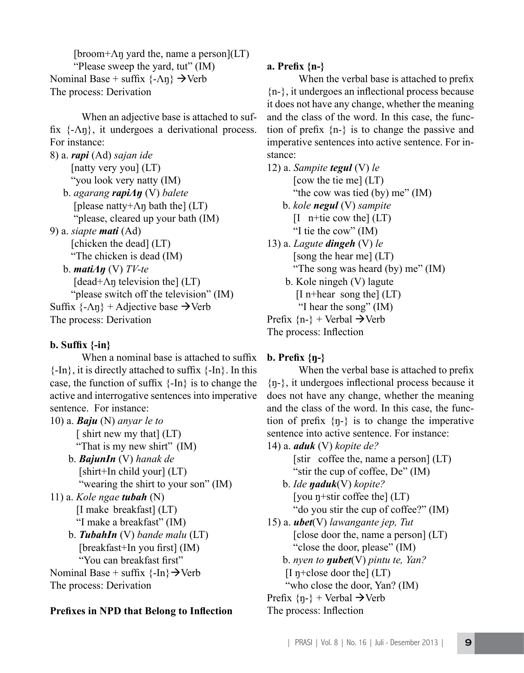[broom+ $\Lambda$ ŋ yard the, name a person](LT) "Please sweep the yard, tut" (IM) Nominal Base + suffix  $\{-\Lambda n\} \rightarrow$  Verb The process: Derivation

When an adjective base is attached to suffix {-Λŋ}, it undergoes a derivational process. For instance:

8) a. *rapi* (Ad) *sajan ide* [natty very you] (LT) "you look very natty (IM) b. *agarang rapiΛŋ* (V) *balete*

- [please natty+ $\Lambda$ η bath the] (LT) "please, cleared up your bath (IM)
- 9) a. *siapte mati* (Ad)

 [chicken the dead] (LT) "The chicken is dead (IM)

b. *matiΛŋ* (V) *TV-te*

[dead+ $\Lambda$ n television the] (LT)

"please switch off the television" (IM) Suffix  $\{\text{-}\Lambda\eta\}$  + Adjective base  $\rightarrow$  Verb

The process: Derivation

# **b. Suffix {-in}**

When a nominal base is attached to suffix  ${-In}$ , it is directly attached to suffix  ${-In}$ . In this case, the function of suffix  $\{-In\}$  is to change the active and interrogative sentences into imperative sentence. For instance:

10) a. *Baju* (N) *anyar le to* [ shirt new my that] (LT) "That is my new shirt" (IM) b. *BajunIn* (V) *hanak de*

 [shirt+In child your] (LT) "wearing the shirt to your son" (IM)

- 11) a. *Kole ngae tubah* (N) [I make breakfast] (LT) "I make a breakfast" (IM)
- b. *TubahIn* (V) *bande malu* (LT) [breakfast+In you first] (IM) "You can breakfast first" Nominal Base + suffix  $\{-In\} \rightarrow$ Verb

The process: Derivation

# **Prefixes in NPD that Belong to Inflection**

# **a. Prefix {n-}**

When the verbal base is attached to prefix {n-}, it undergoes an inflectional process because it does not have any change, whether the meaning and the class of the word. In this case, the function of prefix {n-} is to change the passive and imperative sentences into active sentence. For instance:

- 12) a. *Sampite tegul* (V) *le*  [cow the tie me] (LT) "the cow was tied (by) me" (IM) b. *kole negul* (V) *sampite*
	- $[I \text{ n+tie} \text{ cow the}] (LT)$ "I tie the cow" (IM)

13) a. *Lagute dingeh* (V) *le* [song the hear me] (LT) "The song was heard (by) me" (IM)

 b. Kole ningeh (V) lagute  $[I$  n+hear song the  $(LT)$ "I hear the song" (IM)

Prefix  $\{n-\}\$  + Verbal  $\rightarrow$  Verb

The process: Inflection

# **b. Prefix {ŋ-}**

When the verbal base is attached to prefix {ŋ-}, it undergoes inflectional process because it does not have any change, whether the meaning and the class of the word. In this case, the function of prefix  $\{n-\}\$ is to change the imperative sentence into active sentence. For instance: 14) a. *aduk* (V) *kopite de?*

 [stir coffee the, name a person] (LT) "stir the cup of coffee, De" (IM)

- b. *Ide ŋaduk*(V) *kopite?* [you  $\eta$ +stir coffee the] (LT) "do you stir the cup of coffee?" (IM)
- 15) a. *ubet*(V) *lawangante jep, Tut* [close door the, name a person] (LT) "close the door, please" (IM)

b. *nyen to ŋubet*(V) *pintu te, Yan?*

 $[I$  n+close door the $]$  (LT)

"who close the door, Yan? (IM)

Prefix  $\{n-\}\$  + Verbal  $\rightarrow$  Verb The process: Inflection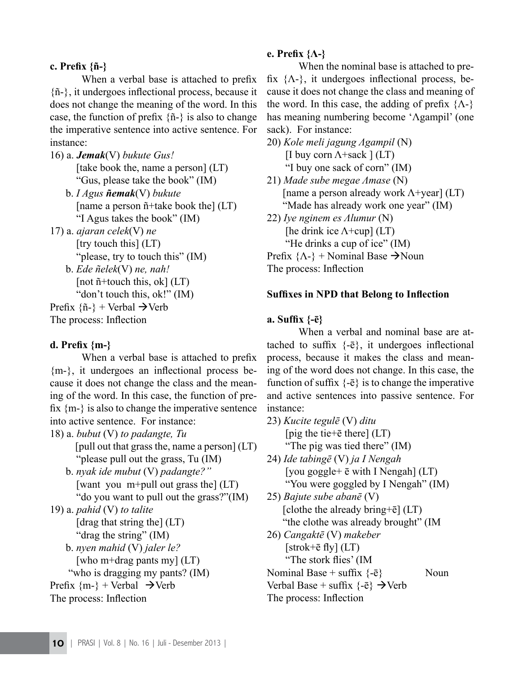## **c. Prefix {ñ-}**

When a verbal base is attached to prefix {ñ-}, it undergoes inflectional process, because it does not change the meaning of the word. In this case, the function of prefix  $\{\tilde{n} - \}$  is also to change the imperative sentence into active sentence. For instance:

- 16) a. *Jemak*(V) *bukute Gus!* [take book the, name a person] (LT) "Gus, please take the book" (IM) b. *I Agus ñemak*(V) *bukute* [name a person ñ+take book the] (LT) "I Agus takes the book" (IM) 17) a. *ajaran celek*(V) *ne*  $[$ try touch this $]$  $(LT)$ "please, try to touch this" (IM) b. *Ede ñelek*(V) *ne, nah!*
	- [not  $ñ$ +touch this, ok] (LT)

"don't touch this, ok!" (IM)

Prefix  $\{\tilde{n} - \}$  + Verbal  $\rightarrow$  Verb The process: Inflection

## **d. Prefix {m-}**

When a verbal base is attached to prefix {m-}, it undergoes an inflectional process because it does not change the class and the meaning of the word. In this case, the function of prefix  ${m-}$  is also to change the imperative sentence into active sentence. For instance:

18) a. *bubut* (V) *to padangte, Tu* [pull out that grass the, name a person] (LT) "please pull out the grass, Tu (IM)

 b. *nyak ide mubut* (V) *padangte?"* [want you m+pull out grass the] (LT) "do you want to pull out the grass?"(IM)

19) a. *pahid* (V) *to talite*

 [drag that string the] (LT) "drag the string" (IM)

- b. *nyen mahid* (V) *jaler le?* [who m+drag pants my] (LT) "who is dragging my pants? (IM)
- Prefix  ${m-}$  + Verbal  $\rightarrow$  Verb

The process: Inflection

## **e. Prefix {Λ-}**

When the nominal base is attached to prefix  ${A-\}$ , it undergoes inflectional process, because it does not change the class and meaning of the word. In this case, the adding of prefix  $\{\Lambda\}$ has meaning numbering become 'Λgampil' (one sack). For instance:

20) *Kole meli jagung Λgampil* (N) [I buy corn  $\Lambda$ +sack ] (LT) "I buy one sack of corn" (IM)

21) *Made sube megae Λmase* (N) [name a person already work Λ+year] (LT) "Made has already work one year" (IM)

22) *Iye nginem es Λlumur* (N) [he drink ice  $\Lambda$ +cup] (LT) "He drinks a cup of ice" (IM) Prefix  $\{\Lambda - \}$  + Nominal Base  $\rightarrow$  Noun

The process: Inflection

## **Suffixes in NPD that Belong to Inflection**

## **a. Suffix {-ē}**

When a verbal and nominal base are attached to suffix  $\{-\bar{e}\}\$ , it undergoes inflectional process, because it makes the class and meaning of the word does not change. In this case, the function of suffix  $\{-\bar{e}\}\$ is to change the imperative and active sentences into passive sentence. For instance:

- 23) *Kucite tegulē* (V) *ditu* [pig the tie+ $\bar{e}$  there] (LT) "The pig was tied there" (IM)
- 24) *Ide tabingē* (V) *ja I Nengah* [you goggle+ ē with I Nengah] (LT) "You were goggled by I Nengah" (IM)
- 25) *Bajute sube abanē* (V) [clothe the already bring+ $\bar{e}$ ] (LT) "the clothe was already brought" (IM
- 26) *Cangaktē* (V) *makeber*  $[$ strok+ē fly $]$  $(LT)$  "The stork flies' (IM
	-
- Nominal Base + suffix  $\{-\bar{e}\}$  Noun
- Verbal Base + suffix  $\{-\bar{e}\}\rightarrow$  Verb

The process: Inflection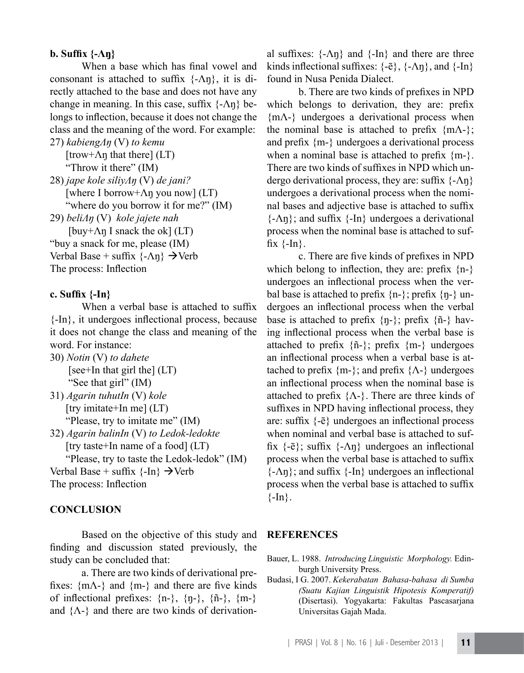#### **b. Suffix {-Λŋ}**

When a base which has final vowel and consonant is attached to suffix  $\{-\Lambda n\}$ , it is directly attached to the base and does not have any change in meaning. In this case, suffix  $\{-\Lambda \eta\}$  belongs to inflection, because it does not change the class and the meaning of the word. For example: 27) *kabiengΛŋ* (V) *to kemu*

 $[$ trow+ $\Lambda$ n that there] (LT)

"Throw it there" (IM)

28) *jape kole siliyΛŋ* (V) *de jani?* [where I borrow+Λŋ you now] (LT) "where do you borrow it for me?" (IM)

29) *beliΛŋ* (V) *kole jajete nah*

[buy+ $\Lambda$ ŋ I snack the ok] (LT)

"buy a snack for me, please (IM)

Verbal Base + suffix  $\{\text{-}\Lambda\eta\} \rightarrow \text{Verb}$ 

The process: Inflection

#### **c. Suffix {-In}**

When a verbal base is attached to suffix {-In}, it undergoes inflectional process, because it does not change the class and meaning of the word. For instance:

30) *Notin* (V) *to dahete* [see+In that girl the] (LT) "See that girl" (IM) 31) *Agarin tuhutIn* (V) *kole* [try imitate+In me] (LT) "Please, try to imitate me" (IM)

32) *Agarin balinIn* (V) *to Ledok-ledokte* [try taste+In name of a food] (LT) "Please, try to taste the Ledok-ledok" (IM)

Verbal Base + suffix  $\{-In\} \rightarrow$ Verb

The process: Inflection

#### **CONCLUSION**

Based on the objective of this study and finding and discussion stated previously, the study can be concluded that:

a. There are two kinds of derivational prefixes:  ${m\Lambda}$  and  ${m-}$  and there are five kinds of inflectional prefixes:  $\{n-\}$ ,  $\{n-\}$ ,  $\{\tilde{n}-\}$ ,  $\{m-\}$ and  $\{\Lambda\}$  and there are two kinds of derivation-

al suffixes:  $\{-\Lambda \eta\}$  and  $\{-\Lambda \eta\}$  and there are three kinds inflectional suffixes:  $\{-\bar{e}\}, \{-\Lambda \eta\},$  and  $\{-\Lambda \eta\}$ found in Nusa Penida Dialect.

b. There are two kinds of prefixes in NPD which belongs to derivation, they are: prefix {mΛ-} undergoes a derivational process when the nominal base is attached to prefix  ${m\Lambda-\}$ ; and prefix {m-} undergoes a derivational process when a nominal base is attached to prefix  ${m-}$ . There are two kinds of suffixes in NPD which undergo derivational process, they are: suffix  $\{-\Lambda n\}$ undergoes a derivational process when the nominal bases and adjective base is attached to suffix  ${-\Lambda n}$ ; and suffix  ${-\Lambda n}$  undergoes a derivational process when the nominal base is attached to suffix  $\{-In\}$ .

c. There are five kinds of prefixes in NPD which belong to inflection, they are: prefix  $\{n-\}$ undergoes an inflectional process when the verbal base is attached to prefix  $\{n-\}$ ; prefix  $\{n-\}$  undergoes an inflectional process when the verbal base is attached to prefix  $\{n-\}$ ; prefix  $\{\tilde{n}-\}$  having inflectional process when the verbal base is attached to prefix  $\{\tilde{n} - \}$ ; prefix  $\{m - \}$  undergoes an inflectional process when a verbal base is attached to prefix  ${m-}$ ; and prefix  ${Λ-}$  undergoes an inflectional process when the nominal base is attached to prefix  ${A-\}$ . There are three kinds of suffixes in NPD having inflectional process, they are: suffix  $\{-\bar{e}\}$  undergoes an inflectional process when nominal and verbal base is attached to suffix  $\{-\bar{e}\}$ ; suffix  $\{-\Lambda\eta\}$  undergoes an inflectional process when the verbal base is attached to suffix  ${-\Lambda \eta}$ ; and suffix  ${-\Lambda \eta}$  undergoes an inflectional process when the verbal base is attached to suffix  $\{-In\}.$ 

#### **REFERENCES**

Bauer, L. 1988. *Introducing Linguistic Morphology.* Edinburgh University Press.

Budasi, I G. 2007. *Kekerabatan Bahasa-bahasa di Sumba (Suatu Kajian Linguistik Hipotesis Komperatif)*  (Disertasi). Yogyakarta: Fakultas Pascasarjana Universitas Gajah Mada.